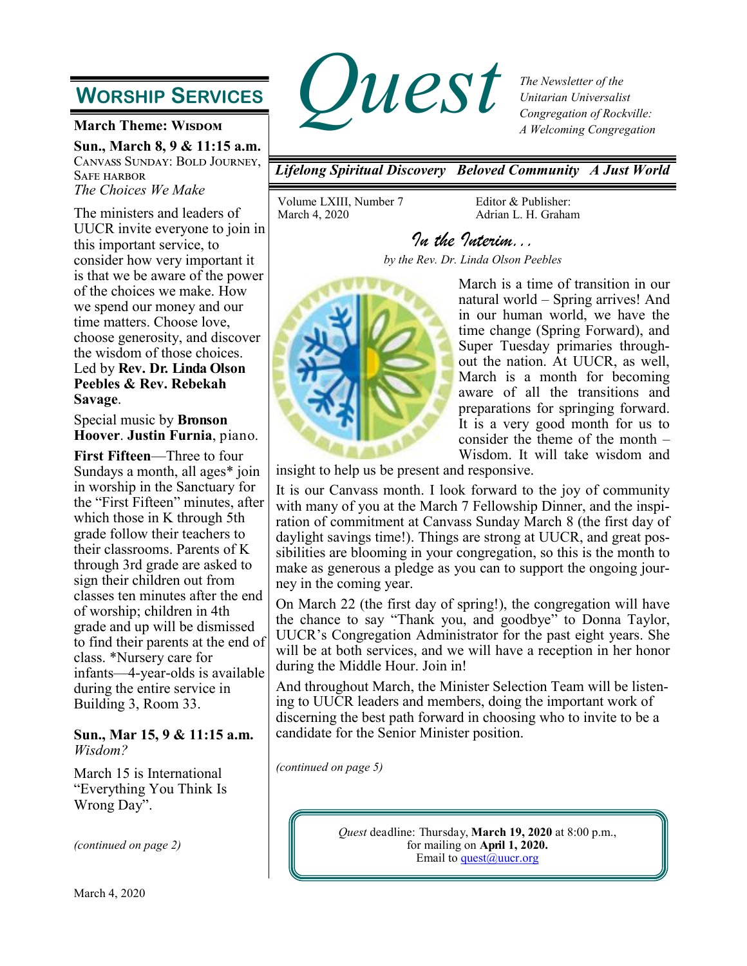# **WORSHIP SERVICES**

**March Theme: WISDOM** 

**Sun., March 8, 9 & 11:15 a.m.** Canvass Sunday: Bold Journey, Safe harbor *The Choices We Make*

The ministers and leaders of UUCR invite everyone to join in this important service, to consider how very important it is that we be aware of the power of the choices we make. How we spend our money and our time matters. Choose love, choose generosity, and discover the wisdom of those choices. Led by **Rev. Dr. Linda Olson Peebles & Rev. Rebekah Savage**.

Special music by **Bronson Hoover**. **Justin Furnia**, piano.

**First Fifteen**—Three to four Sundays a month, all ages\* join in worship in the Sanctuary for the "First Fifteen" minutes, after which those in K through 5th grade follow their teachers to their classrooms. Parents of K through 3rd grade are asked to sign their children out from classes ten minutes after the end of worship; children in 4th grade and up will be dismissed to find their parents at the end of class. \*Nursery care for infants—4-year-olds is available during the entire service in Building 3, Room 33.

### **Sun., Mar 15, 9 & 11:15 a.m.** *Wisdom?*

March 15 is International "Everything You Think Is Wrong Day".

*(continued on page 2)*



*The Newsletter of the Unitarian Universalist Congregation of Rockville: A Welcoming Congregation*

*Lifelong Spiritual Discovery Beloved Community A Just World*

Volume LXIII, Number 7 March 4, 2020

Editor & Publisher: Adrian L. H. Graham

*In the Interim... by the Rev. Dr. Linda Olson Peebles* 



March is a time of transition in our natural world – Spring arrives! And in our human world, we have the time change (Spring Forward), and Super Tuesday primaries throughout the nation. At UUCR, as well, March is a month for becoming aware of all the transitions and preparations for springing forward. It is a very good month for us to consider the theme of the month – Wisdom. It will take wisdom and

insight to help us be present and responsive.

It is our Canvass month. I look forward to the joy of community with many of you at the March 7 Fellowship Dinner, and the inspiration of commitment at Canvass Sunday March 8 (the first day of daylight savings time!). Things are strong at UUCR, and great possibilities are blooming in your congregation, so this is the month to make as generous a pledge as you can to support the ongoing journey in the coming year.

On March 22 (the first day of spring!), the congregation will have the chance to say "Thank you, and goodbye" to Donna Taylor, UUCR's Congregation Administrator for the past eight years. She will be at both services, and we will have a reception in her honor during the Middle Hour. Join in!

And throughout March, the Minister Selection Team will be listening to UUCR leaders and members, doing the important work of discerning the best path forward in choosing who to invite to be a candidate for the Senior Minister position.

*(continued on page 5)*

*Quest* deadline: Thursday, **March 19, 2020** at 8:00 p.m., for mailing on **April 1, 2020.** Email to  $\frac{\text{quest}(a) \text{ uucr.org}}{\text{ }}$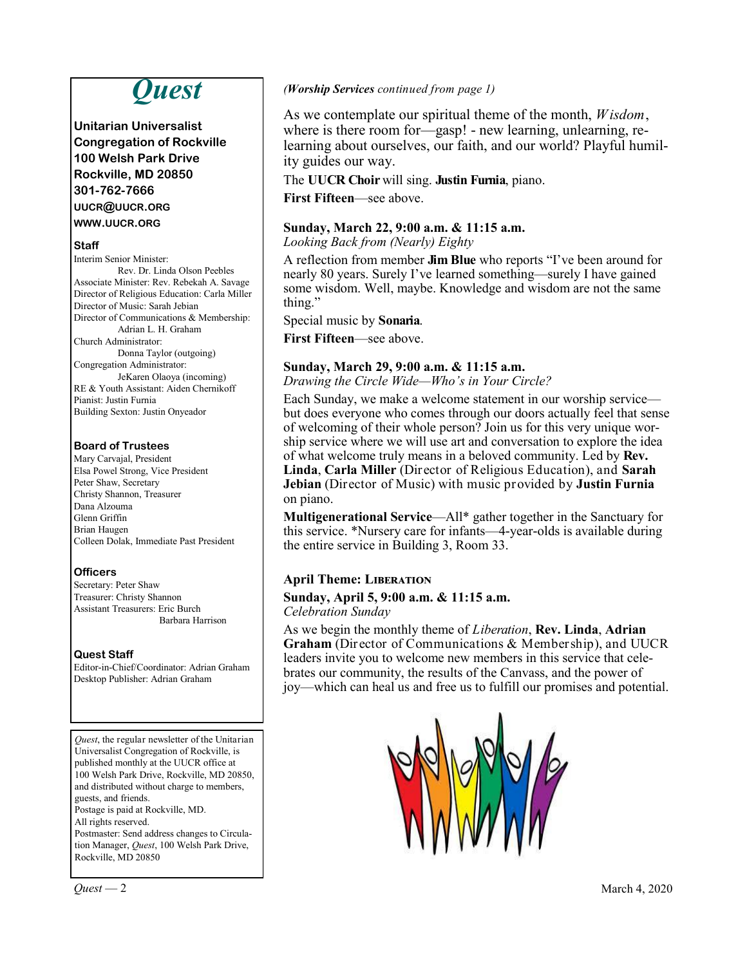# *Quest*

**Unitarian Universalist Congregation of Rockville 100 Welsh Park Drive Rockville, MD 20850 301-762-7666 UUCR@UUCR.ORG WWW.UUCR.ORG**

#### **Staff**

Interim Senior Minister: Rev. Dr. Linda Olson Peebles Associate Minister: Rev. Rebekah A. Savage Director of Religious Education: Carla Miller Director of Music: Sarah Jebian Director of Communications & Membership: Adrian L. H. Graham Church Administrator: Donna Taylor (outgoing) Congregation Administrator: JeKaren Olaoya (incoming) RE & Youth Assistant: Aiden Chernikoff Pianist: Justin Furnia Building Sexton: Justin Onyeador

### **Board of Trustees**

Mary Carvajal, President Elsa Powel Strong, Vice President Peter Shaw, Secretary Christy Shannon, Treasurer Dana Alzouma Glenn Griffin Brian Haugen Colleen Dolak, Immediate Past President

### **Officers**

Secretary: Peter Shaw Treasurer: Christy Shannon Assistant Treasurers: Eric Burch Barbara Harrison

#### **Quest Staff**

Editor-in-Chief/Coordinator: Adrian Graham Desktop Publisher: Adrian Graham

*Quest*, the regular newsletter of the Unitarian Universalist Congregation of Rockville, is published monthly at the UUCR office at 100 Welsh Park Drive, Rockville, MD 20850, and distributed without charge to members, guests, and friends. Postage is paid at Rockville, MD. All rights reserved. Postmaster: Send address changes to Circula-

tion Manager, *Quest*, 100 Welsh Park Drive, Rockville, MD 20850

*(Worship Services continued from page 1)*

As we contemplate our spiritual theme of the month, *Wisdom*, where is there room for—gasp! - new learning, unlearning, relearning about ourselves, our faith, and our world? Playful humility guides our way.

The **UUCR Choir** will sing. **Justin Furnia**, piano.

**First Fifteen**—see above.

### **Sunday, March 22, 9:00 a.m. & 11:15 a.m.**

*Looking Back from (Nearly) Eighty*

A reflection from member **Jim Blue** who reports "I've been around for nearly 80 years. Surely I've learned something—surely I have gained some wisdom. Well, maybe. Knowledge and wisdom are not the same thing."

Special music by **Sonaria**.

**First Fifteen**—see above.

### **Sunday, March 29, 9:00 a.m. & 11:15 a.m.**

*Drawing the Circle Wide—Who's in Your Circle?*

Each Sunday, we make a welcome statement in our worship service but does everyone who comes through our doors actually feel that sense of welcoming of their whole person? Join us for this very unique worship service where we will use art and conversation to explore the idea of what welcome truly means in a beloved community. Led by **Rev. Linda**, **Carla Miller** (Director of Religious Education), and **Sarah Jebian** (Director of Music) with music provided by **Justin Furnia** on piano.

**Multigenerational Service**—All\* gather together in the Sanctuary for this service. \*Nursery care for infants—4-year-olds is available during the entire service in Building 3, Room 33.

### **April Theme: Liberation**

### **Sunday, April 5, 9:00 a.m. & 11:15 a.m.**

*Celebration Sunday*

As we begin the monthly theme of *Liberation*, **Rev. Linda**, **Adrian Graham** (Director of Communications & Membership), and UUCR leaders invite you to welcome new members in this service that celebrates our community, the results of the Canvass, and the power of joy—which can heal us and free us to fulfill our promises and potential.



 $\mathcal{Q}uest - 2$  March 4, 2020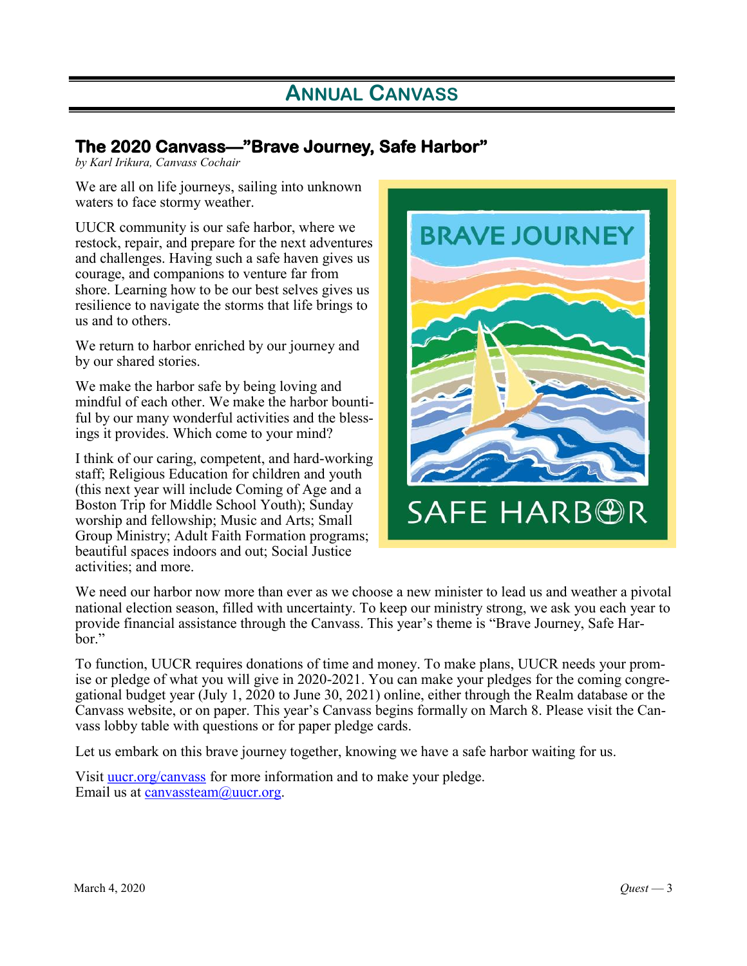# **ANNUAL CANVASS**

## **The 2020 Canvass—"Brave Journey, Safe Harbor"**

*by Karl Irikura, Canvass Cochair*

We are all on life journeys, sailing into unknown waters to face stormy weather.

UUCR community is our safe harbor, where we restock, repair, and prepare for the next adventures and challenges. Having such a safe haven gives us courage, and companions to venture far from shore. Learning how to be our best selves gives us resilience to navigate the storms that life brings to us and to others.

We return to harbor enriched by our journey and by our shared stories.

We make the harbor safe by being loving and mindful of each other. We make the harbor bountiful by our many wonderful activities and the blessings it provides. Which come to your mind?

I think of our caring, competent, and hard-working staff; Religious Education for children and youth (this next year will include Coming of Age and a Boston Trip for Middle School Youth); Sunday worship and fellowship; Music and Arts; Small Group Ministry; Adult Faith Formation programs; beautiful spaces indoors and out; Social Justice activities; and more.



We need our harbor now more than ever as we choose a new minister to lead us and weather a pivotal national election season, filled with uncertainty. To keep our ministry strong, we ask you each year to provide financial assistance through the Canvass. This year's theme is "Brave Journey, Safe Harbor."

To function, UUCR requires donations of time and money. To make plans, UUCR needs your promise or pledge of what you will give in 2020-2021. You can make your pledges for the coming congregational budget year (July 1, 2020 to June 30, 2021) online, either through the Realm database or the Canvass website, or on paper. This year's Canvass begins formally on March 8. Please visit the Canvass lobby table with questions or for paper pledge cards.

Let us embark on this brave journey together, knowing we have a safe harbor waiting for us.

Visit **uucr.org/canvass** for more information and to make your pledge. Email us at canvassteam@uucr.org.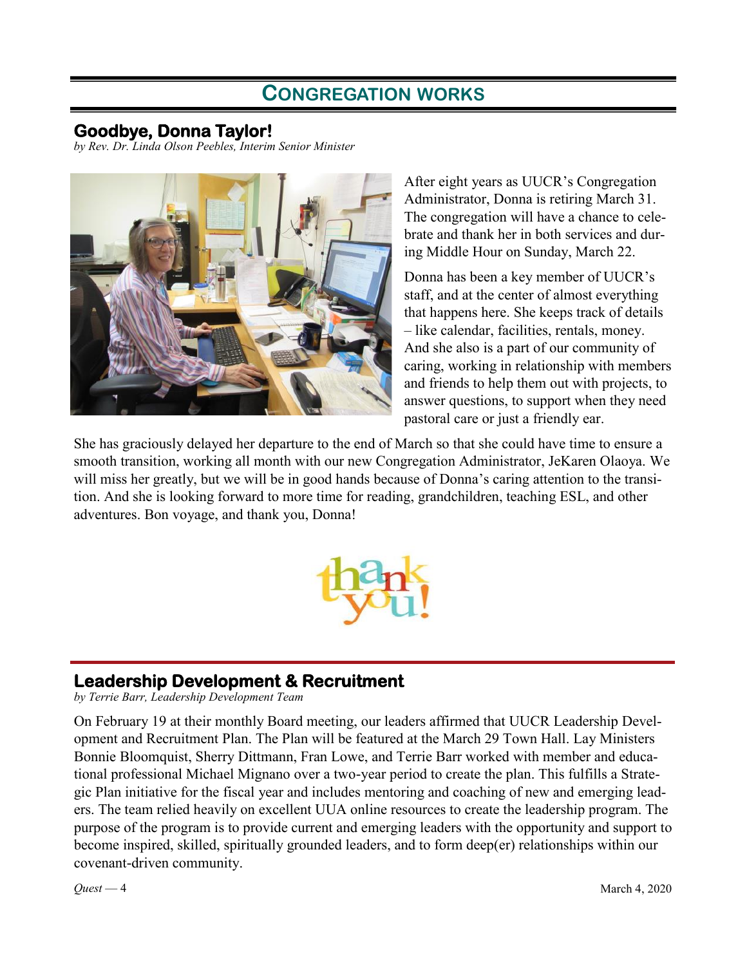## **CONGREGATION WORKS**

## **Goodbye, Donna Taylor!**

*by Rev. Dr. Linda Olson Peebles, Interim Senior Minister*



After eight years as UUCR's Congregation Administrator, Donna is retiring March 31. The congregation will have a chance to celebrate and thank her in both services and during Middle Hour on Sunday, March 22.

Donna has been a key member of UUCR's staff, and at the center of almost everything that happens here. She keeps track of details – like calendar, facilities, rentals, money. And she also is a part of our community of caring, working in relationship with members and friends to help them out with projects, to answer questions, to support when they need pastoral care or just a friendly ear.

She has graciously delayed her departure to the end of March so that she could have time to ensure a smooth transition, working all month with our new Congregation Administrator, JeKaren Olaoya. We will miss her greatly, but we will be in good hands because of Donna's caring attention to the transition. And she is looking forward to more time for reading, grandchildren, teaching ESL, and other adventures. Bon voyage, and thank you, Donna!



## **Leadership Development & Recruitment**

*by Terrie Barr, Leadership Development Team*

On February 19 at their monthly Board meeting, our leaders affirmed that UUCR Leadership Development and Recruitment Plan. The Plan will be featured at the March 29 Town Hall. Lay Ministers Bonnie Bloomquist, Sherry Dittmann, Fran Lowe, and Terrie Barr worked with member and educational professional Michael Mignano over a two-year period to create the plan. This fulfills a Strategic Plan initiative for the fiscal year and includes mentoring and coaching of new and emerging leaders. The team relied heavily on excellent UUA online resources to create the leadership program. The purpose of the program is to provide current and emerging leaders with the opportunity and support to become inspired, skilled, spiritually grounded leaders, and to form deep(er) relationships within our covenant-driven community.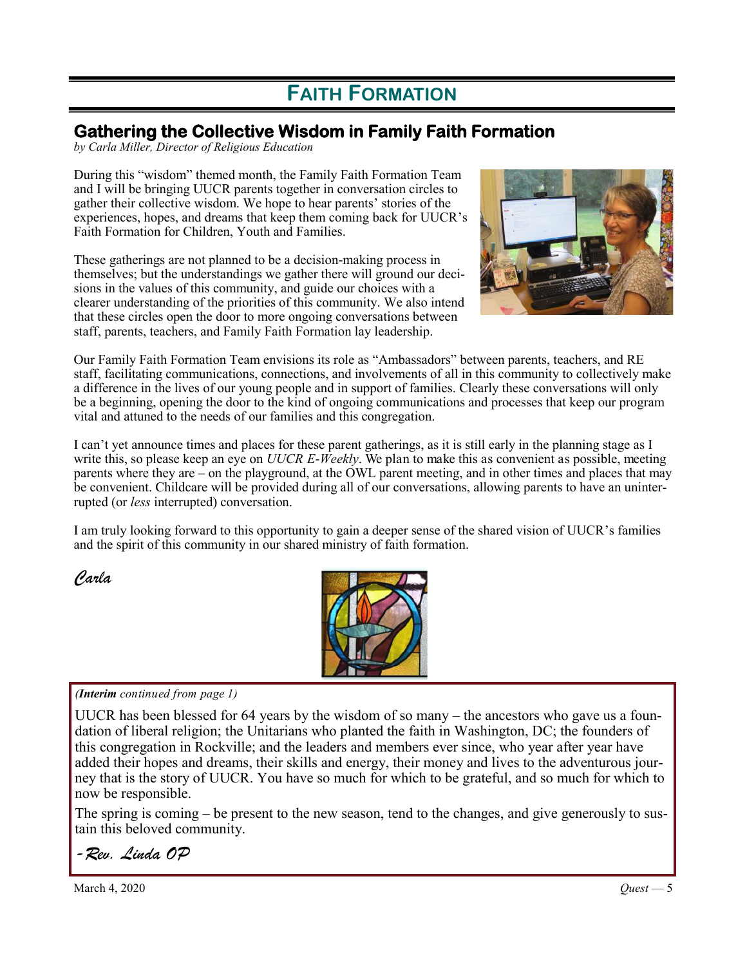# **FAITH FORMATION**

## **Gathering the Collective Wisdom in Family Faith Formation**

*by Carla Miller, Director of Religious Education*

During this "wisdom" themed month, the Family Faith Formation Team and I will be bringing UUCR parents together in conversation circles to gather their collective wisdom. We hope to hear parents' stories of the experiences, hopes, and dreams that keep them coming back for UUCR's Faith Formation for Children, Youth and Families.

These gatherings are not planned to be a decision-making process in themselves; but the understandings we gather there will ground our decisions in the values of this community, and guide our choices with a clearer understanding of the priorities of this community. We also intend that these circles open the door to more ongoing conversations between staff, parents, teachers, and Family Faith Formation lay leadership.



Our Family Faith Formation Team envisions its role as "Ambassadors" between parents, teachers, and RE staff, facilitating communications, connections, and involvements of all in this community to collectively make a difference in the lives of our young people and in support of families. Clearly these conversations will only be a beginning, opening the door to the kind of ongoing communications and processes that keep our program vital and attuned to the needs of our families and this congregation.

I can't yet announce times and places for these parent gatherings, as it is still early in the planning stage as I write this, so please keep an eye on *UUCR E-Weekly*. We plan to make this as convenient as possible, meeting parents where they are – on the playground, at the OWL parent meeting, and in other times and places that may be convenient. Childcare will be provided during all of our conversations, allowing parents to have an uninterrupted (or *less* interrupted) conversation.

I am truly looking forward to this opportunity to gain a deeper sense of the shared vision of UUCR's families and the spirit of this community in our shared ministry of faith formation.

*Carla*



### *(Interim continued from page 1)*

UUCR has been blessed for 64 years by the wisdom of so many – the ancestors who gave us a foundation of liberal religion; the Unitarians who planted the faith in Washington, DC; the founders of this congregation in Rockville; and the leaders and members ever since, who year after year have added their hopes and dreams, their skills and energy, their money and lives to the adventurous journey that is the story of UUCR. You have so much for which to be grateful, and so much for which to now be responsible.

The spring is coming – be present to the new season, tend to the changes, and give generously to sustain this beloved community.

## *-Rev. Linda OP*

March 4, 2020 *Quest* — 5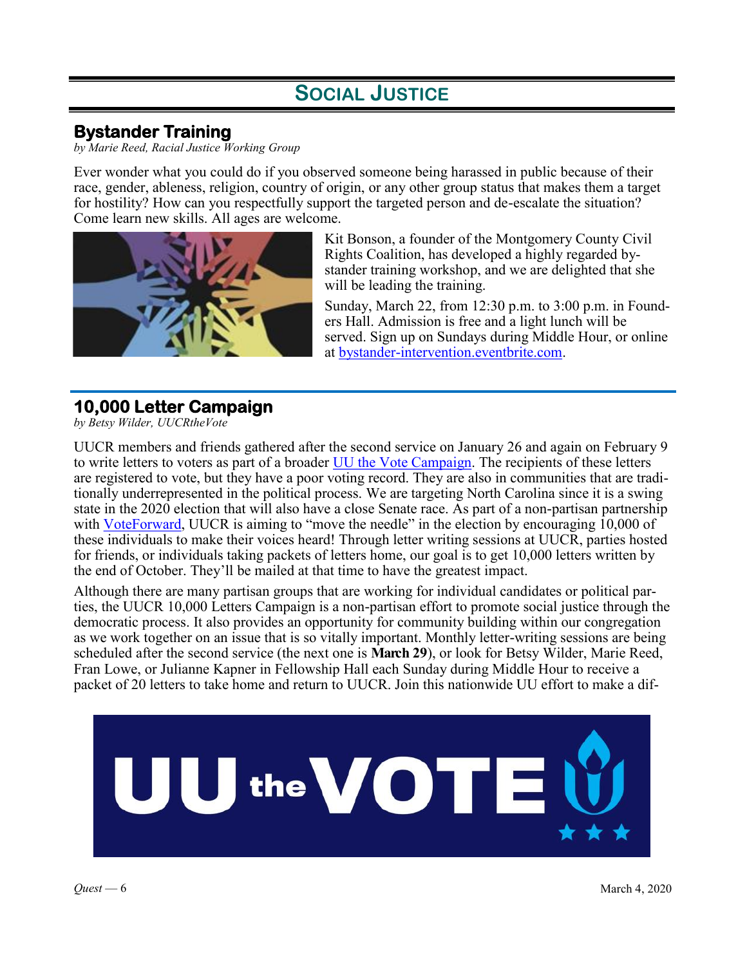# **SOCIAL JUSTICE**

## **Bystander Training**

*by Marie Reed, Racial Justice Working Group*

Ever wonder what you could do if you observed someone being harassed in public because of their race, gender, ableness, religion, country of origin, or any other group status that makes them a target for hostility? How can you respectfully support the targeted person and de-escalate the situation? Come learn new skills. All ages are welcome.



Kit Bonson, a founder of the Montgomery County Civil Rights Coalition, has developed a highly regarded bystander training workshop, and we are delighted that she will be leading the training.

Sunday, March 22, from 12:30 p.m. to 3:00 p.m. in Founders Hall. Admission is free and a light lunch will be served. Sign up on Sundays during Middle Hour, or online at [bystander-intervention.eventbrite.com.](https://www.eventbrite.com/e/bystander-intervention-training-tickets-95664887253)

## **10,000 Letter Campaign**

*by Betsy Wilder, UUCRtheVote*

UUCR members and friends gathered after the second service on January 26 and again on February 9 to write letters to voters as part of a broader [UU the Vote Campaign.](https://www.uua.org/justice/vote2020) The recipients of these letters are registered to vote, but they have a poor voting record. They are also in communities that are traditionally underrepresented in the political process. We are targeting North Carolina since it is a swing state in the 2020 election that will also have a close Senate race. As part of a non-partisan partnership with [VoteForward,](https://votefwd.org/) UUCR is aiming to "move the needle" in the election by encouraging 10,000 of these individuals to make their voices heard! Through letter writing sessions at UUCR, parties hosted for friends, or individuals taking packets of letters home, our goal is to get 10,000 letters written by the end of October. They'll be mailed at that time to have the greatest impact.

Although there are many partisan groups that are working for individual candidates or political parties, the UUCR 10,000 Letters Campaign is a non-partisan effort to promote social justice through the democratic process. It also provides an opportunity for community building within our congregation as we work together on an issue that is so vitally important. Monthly letter-writing sessions are being scheduled after the second service (the next one is **March 29**), or look for Betsy Wilder, Marie Reed, Fran Lowe, or Julianne Kapner in Fellowship Hall each Sunday during Middle Hour to receive a packet of 20 letters to take home and return to UUCR. Join this nationwide UU effort to make a dif-

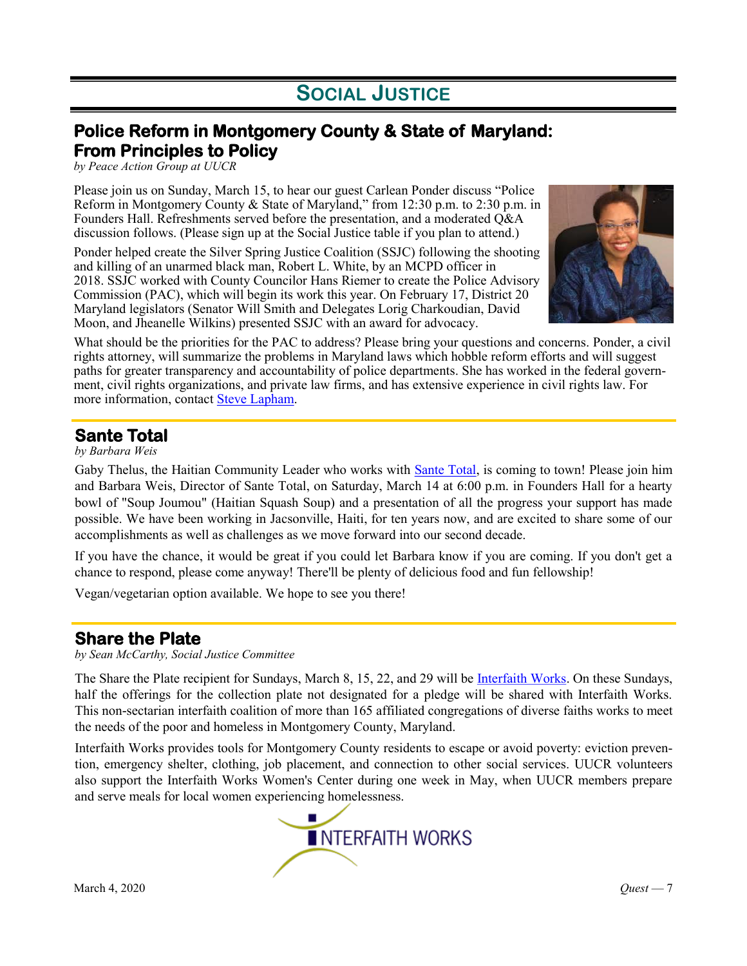# **SOCIAL JUSTICE**

## **Police Reform in Montgomery County & State of Maryland: From Principles to Policy**

*by Peace Action Group at UUCR*

Please join us on Sunday, March 15, to hear our guest Carlean Ponder discuss "Police Reform in Montgomery County & State of Maryland," from 12:30 p.m. to 2:30 p.m. in Founders Hall. Refreshments served before the presentation, and a moderated Q&A discussion follows. (Please sign up at the Social Justice table if you plan to attend.)

Ponder helped create the Silver Spring Justice Coalition (SSJC) following the shooting and killing of an unarmed black man, Robert L. White, by an MCPD officer in 2018. SSJC worked with County Councilor Hans Riemer to create the Police Advisory Commission (PAC), which will begin its work this year. On February 17, District 20 Maryland legislators (Senator Will Smith and Delegates Lorig Charkoudian, David Moon, and Jheanelle Wilkins) presented SSJC with an award for advocacy.



What should be the priorities for the PAC to address? Please bring your questions and concerns. Ponder, a civil rights attorney, will summarize the problems in Maryland laws which hobble reform efforts and will suggest paths for greater transparency and accountability of police departments. She has worked in the federal government, civil rights organizations, and private law firms, and has extensive experience in civil rights law. For more information, contact **Steve Lapham**.

## **Sante Total**

*by Barbara Weis*

Gaby Thelus, the Haitian Community Leader who works with [Sante Total,](http://www.santetotal.org/) is coming to town! Please join him and Barbara Weis, Director of Sante Total, on Saturday, March 14 at 6:00 p.m. in Founders Hall for a hearty bowl of "Soup Joumou" (Haitian Squash Soup) and a presentation of all the progress your support has made possible. We have been working in Jacsonville, Haiti, for ten years now, and are excited to share some of our accomplishments as well as challenges as we move forward into our second decade.

If you have the chance, it would be great if you could let Barbara know if you are coming. If you don't get a chance to respond, please come anyway! There'll be plenty of delicious food and fun fellowship!

Vegan/vegetarian option available. We hope to see you there!

### **Share the Plate**

*by Sean McCarthy, Social Justice Committee*

The Share the Plate recipient for Sundays, March 8, 15, 22, and 29 will be [Interfaith Works.](https://www.iworksmc.org/) On these Sundays, half the offerings for the collection plate not designated for a pledge will be shared with Interfaith Works. This non-sectarian interfaith coalition of more than 165 affiliated congregations of diverse faiths works to meet the needs of the poor and homeless in Montgomery County, Maryland.

Interfaith Works provides tools for Montgomery County residents to escape or avoid poverty: eviction prevention, emergency shelter, clothing, job placement, and connection to other social services. UUCR volunteers also support the Interfaith Works Women's Center during one week in May, when UUCR members prepare and serve meals for local women experiencing [homelessness.](https://www.iworksmc.org/)

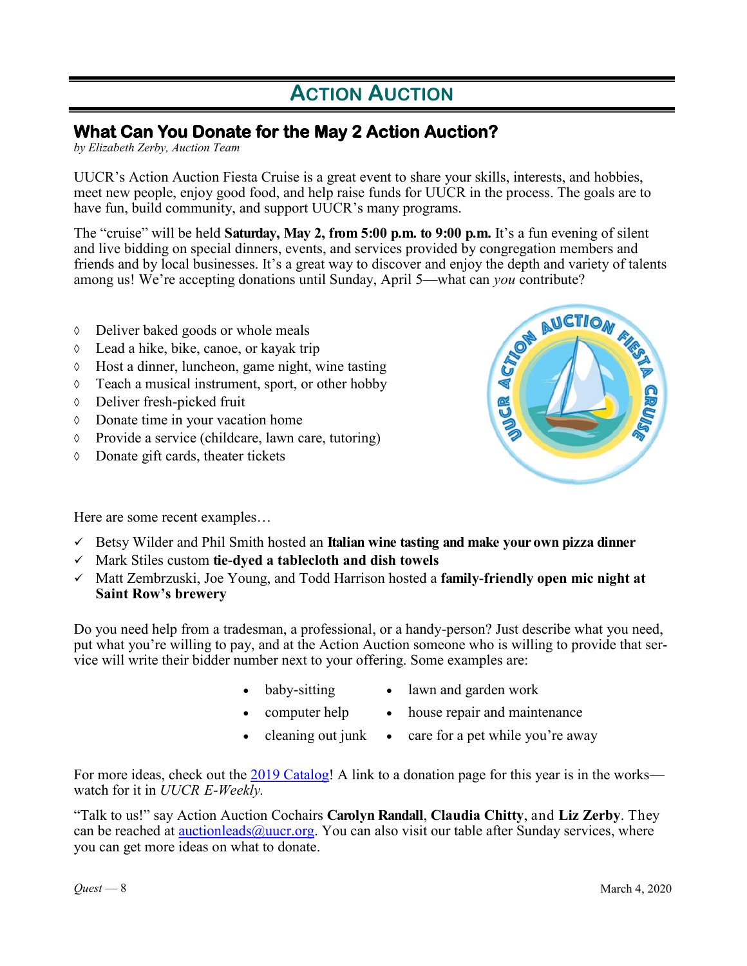# **ACTION AUCTION**

## **What Can You Donate for the May 2 Action Auction?**

*by Elizabeth Zerby, Auction Team*

UUCR's Action Auction Fiesta Cruise is a great event to share your skills, interests, and hobbies, meet new people, enjoy good food, and help raise funds for UUCR in the process. The goals are to have fun, build community, and support UUCR's many programs.

The "cruise" will be held **Saturday, May 2, from 5:00 p.m. to 9:00 p.m.** It's a fun evening of silent and live bidding on special dinners, events, and services provided by congregation members and among us! We're accepting donations until Sunday, April 5—what can *you* contribute?

- Deliver baked goods or whole meals
- Lead a hike, bike, canoe, or kayak trip
- $\Diamond$  Host a dinner, luncheon, game night, wine tasting
- $\Diamond$  Teach a musical instrument, sport, or other hobby
- Deliver fresh-picked fruit
- Donate time in your vacation home
- $\Diamond$  Provide a service (childcare, lawn care, tutoring)
- Donate gift cards, theater tickets

friends and by local businesses. It's a great way to discover and enjoy the depth and variety of talents<br>among us! We're accepting donations until Sunday, April 5—what can *you* contribute?<br>
O Deliver baked goods or whole

Here are some recent examples…

- Betsy Wilder and Phil Smith hosted an **Italian wine tasting and make your own pizza dinner**
- Mark Stiles custom **tie-dyed a tablecloth and dish towels**
- Matt Zembrzuski, Joe Young, and Todd Harrison hosted a **family-friendly open mic night at Saint Row's brewery**

Do you need help from a tradesman, a professional, or a handy-person? Just describe what you need, put what you're willing to pay, and at the Action Auction someone who is willing to provide that service will write their bidder number next to your offering. Some examples are:

- 
- baby-sitting lawn and garden work
- - computer help house repair and maintenance
- 
- cleaning out junk care for a pet while you're away

For more ideas, check out the [2019 Catalog!](https://uucr.org/sites/default/files/2019%20catalog-complete.pdf) A link to a donation page for this year is in the works watch for it in *UUCR E-Weekly.*

"Talk to us!" say Action Auction Cochairs **Carolyn Randall**, **Claudia Chitty**, and **Liz Zerby**. They can be reached at  $\frac{\text{auctionleads}(a) \text{uucr.org}}{\text{a} \cdot \text{a}}$ . You can also visit our table after Sunday services, where you can get more ideas on what to donate.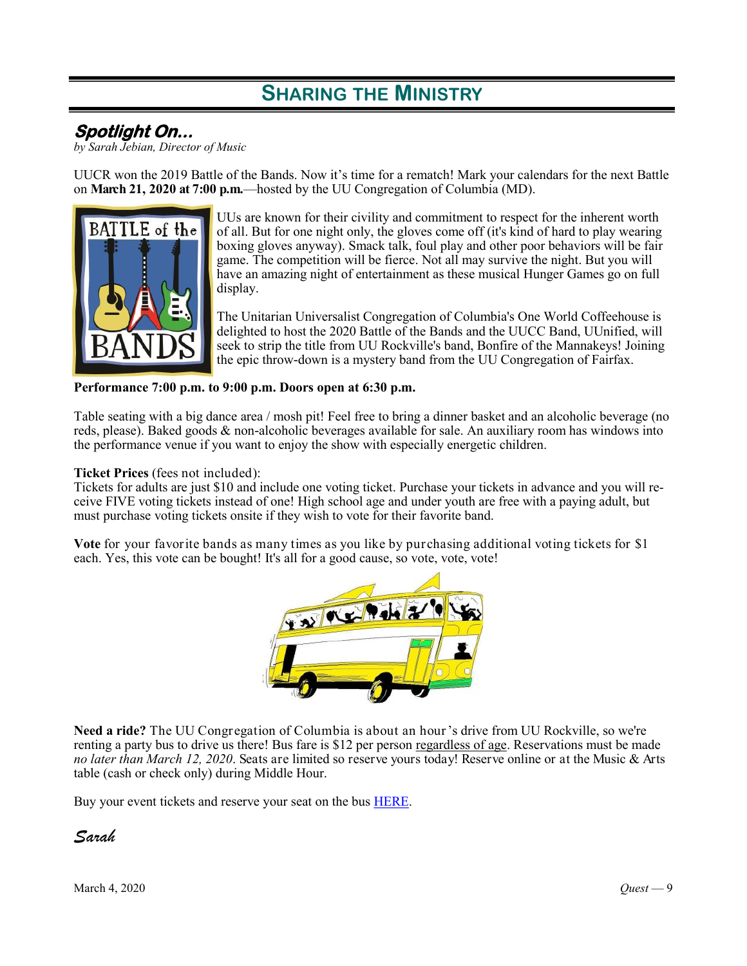# **SHARING THE MINISTRY**

## **Spotlight On...**

*by Sarah Jebian, Director of Music*

UUCR won the 2019 Battle of the Bands. Now it's time for a rematch! Mark your calendars for the next Battle on **March 21, 2020 at 7:00 p.m.**—hosted by the UU Congregation of Columbia (MD).



UUs are known for their civility and commitment to respect for the inherent worth of all. But for one night only, the gloves come off (it's kind of hard to play wearing boxing gloves anyway). Smack talk, foul play and other poor behaviors will be fair game. The competition will be fierce. Not all may survive the night. But you will have an amazing night of entertainment as these musical Hunger Games go on full display.

The Unitarian Universalist Congregation of Columbia's One World Coffeehouse is delighted to host the 2020 Battle of the Bands and the UUCC Band, UUnified, will seek to strip the title from UU Rockville's band, Bonfire of the Mannakeys! Joining the epic throw-down is a mystery band from the UU Congregation of Fairfax.

#### **Performance 7:00 p.m. to 9:00 p.m. Doors open at 6:30 p.m.**

Table seating with a big dance area / mosh pit! Feel free to bring a dinner basket and an alcoholic beverage (no reds, please). Baked goods & non-alcoholic beverages available for sale. An auxiliary room has windows into the performance venue if you want to enjoy the show with especially energetic children.

#### **Ticket Prices** (fees not included):

Tickets for adults are just \$10 and include one voting ticket. Purchase your tickets in advance and you will receive FIVE voting tickets instead of one! High school age and under youth are free with a paying adult, but must purchase voting tickets onsite if they wish to vote for their favorite band.

**Vote** for your favorite bands as many times as you like by purchasing additional voting tickets for \$1 each. Yes, this vote can be bought! It's all for a good cause, so vote, vote, vote!



**Need a ride?** The UU Congregation of Columbia is about an hour's drive from UU Rockville, so we're renting a party bus to drive us there! Bus fare is \$12 per person regardless of age. Reservations must be made *no later than March 12, 2020*. Seats are limited so reserve yours today! Reserve online or at the Music & Arts table (cash or check only) during Middle Hour.

Buy your event tickets and reserve your seat on the bus [HERE.](https://uucrmusic.weebly.com/battle-of-the-bands.html)

*Sarah*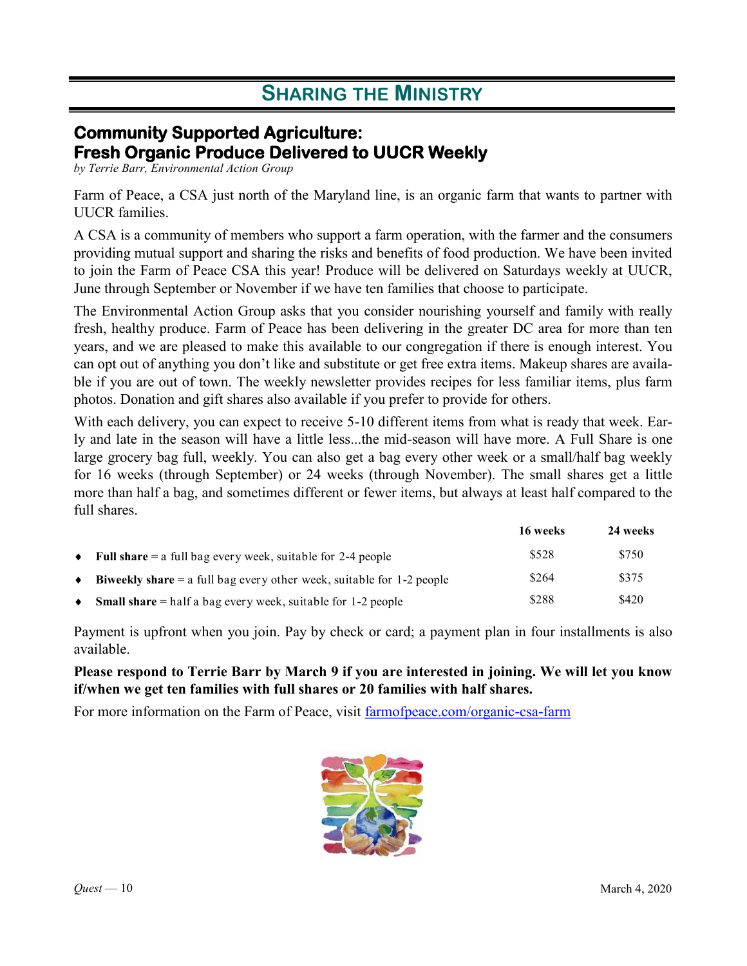# **SHARING THE MINISTRY**

## **Community Supported Agriculture: Fresh Organic Produce Delivered to UUCR Weekly**

*by Terrie Barr, Environmental Action Group*

Farm of Peace, a CSA just north of the Maryland line, is an organic farm that wants to partner with UUCR families.

A CSA is a community of members who support a farm operation, with the farmer and the consumers providing mutual support and sharing the risks and benefits of food production. We have been invited to join the Farm of Peace CSA this year! Produce will be delivered on Saturdays weekly at UUCR, June through September or November if we have ten families that choose to participate.

The Environmental Action Group asks that you consider nourishing yourself and family with really fresh, healthy produce. Farm of Peace has been delivering in the greater DC area for more than ten years, and we are pleased to make this available to our congregation if there is enough interest. You can opt out of anything you don't like and substitute or get free extra items. Makeup shares are available if you are out of town. The weekly newsletter provides recipes for less familiar items, plus farm photos. Donation and gift shares also available if you prefer to provide for others.

With each delivery, you can expect to receive 5-10 different items from what is ready that week. Early and late in the season will have a little less...the mid-season will have more. A Full Share is one large grocery bag full, weekly. You can also get a bag every other week or a small/half bag weekly for 16 weeks (through September) or 24 weeks (through November). The small shares get a little more than half a bag, and sometimes different or fewer items, but always at least half compared to the full shares.

|           |                                                                                | 16 weeks | 24 weeks |
|-----------|--------------------------------------------------------------------------------|----------|----------|
| $\bullet$ | <b>Full share</b> $=$ a full bag every week, suitable for 2-4 people           | \$528    | \$750    |
| ٠         | <b>Biweekly share</b> $=$ a full bag every other week, suitable for 1-2 people | \$264    | \$375    |
| ٠         | <b>Small share</b> $=$ half a bag every week, suitable for 1-2 people          | \$288    | \$420    |

Payment is upfront when you join. Pay by check or card; a payment plan in four installments is also available.

### **Please respond to Terrie Barr by March 9 if you are interested in joining. We will let you know if/when we get ten families with full shares or 20 families with half shares.**

For more information on the Farm of Peace, visit [farmofpeace.com/organic-csa-farm](https://farmofpeace.com/organic-csa-farm/)

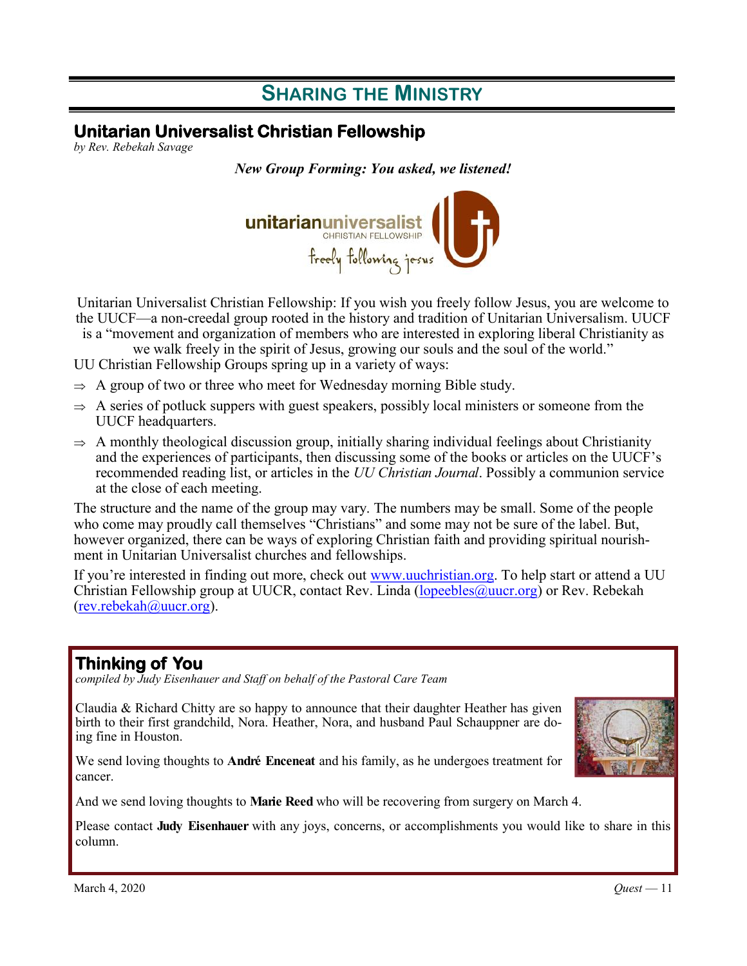# **SHARING THE MINISTRY**

## **Unitarian Universalist Christian Fellowship**

*by Rev. Rebekah Savage*

*New Group Forming: You asked, we listened!*



Unitarian Universalist Christian Fellowship: If you wish you freely follow Jesus, you are welcome to the UUCF—a non-creedal group rooted in the history and tradition of Unitarian Universalism. UUCF is a "movement and organization of members who are interested in exploring liberal Christianity as

we walk freely in the spirit of Jesus, growing our souls and the soul of the world."

UU Christian Fellowship Groups spring up in a variety of ways:

- $\Rightarrow$  A group of two or three who meet for Wednesday morning Bible study.
- $\Rightarrow$  A series of potluck suppers with guest speakers, possibly local ministers or someone from the UUCF headquarters.
- $\Rightarrow$  A monthly theological discussion group, initially sharing individual feelings about Christianity and the experiences of participants, then discussing some of the books or articles on the UUCF's recommended reading list, or articles in the *UU Christian Journal*. Possibly a communion service at the close of each meeting.

The structure and the name of the group may vary. The numbers may be small. Some of the people who come may proudly call themselves "Christians" and some may not be sure of the label. But, however organized, there can be ways of exploring Christian faith and providing spiritual nourishment in Unitarian Universalist churches and fellowships.

If you're interested in finding out more, check out [www.uuchristian.org.](http://www.uuchristian.org) To help start or attend a UU Christian Fellowship group at UUCR, contact Rev. Linda ( $lopeebles@uucr.org$ ) or Rev. Rebekah [\(rev.rebekah@uucr.org\)](mailto:rev.rebekah@uucr.org?subject=re:%20Unitarian%20Universalist%20Christian%20Fellowship).

## **Thinking of You**

*compiled by Judy Eisenhauer and Staff on behalf of the Pastoral Care Team*

Claudia & Richard Chitty are so happy to announce that their daughter Heather has given birth to their first grandchild, Nora. Heather, Nora, and husband Paul Schauppner are doing fine in Houston.

We send loving thoughts to **André Enceneat** and his family, as he undergoes treatment for cancer.

And we send loving thoughts to **Marie Reed** who will be recovering from surgery on March 4.

Please contact **Judy Eisenhauer** with any joys, concerns, or accomplishments you would like to share in this column.